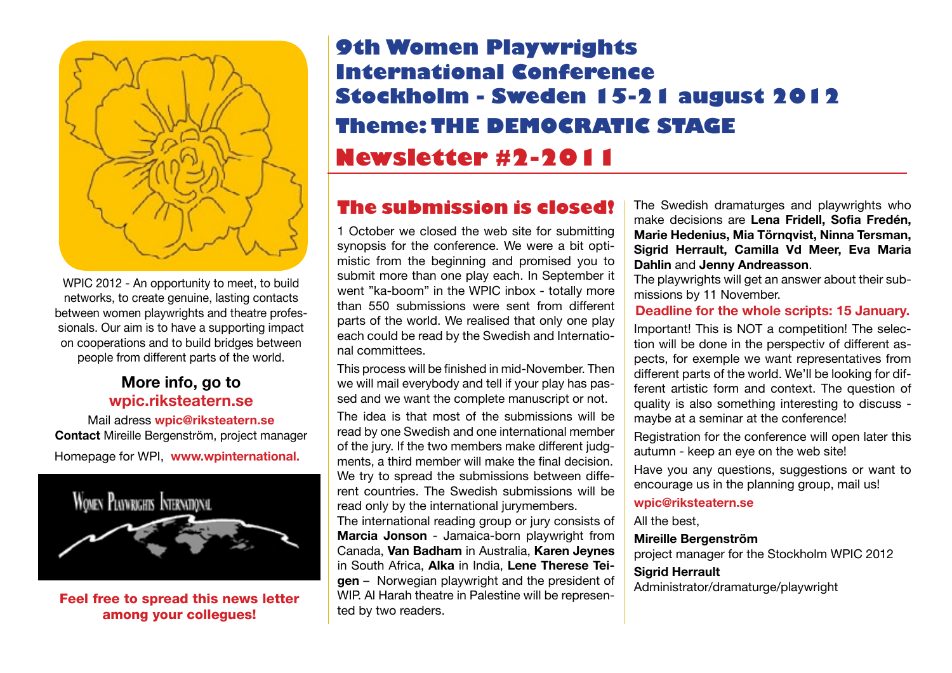

WPIC 2012 - An opportunity to meet, to build networks, to create genuine, lasting contacts between women playwrights and theatre professionals. Our aim is to have a supporting impact on cooperations and to build bridges between people from different parts of the world.

### **More info, go to wpi[c.riksteatern.se](www.riksteatern.se/wpic )**

Mail adress **wpic@riksteatern.se Contact** Mireille Bergenström, project manager Homepage for WPI, **[www.wpinternational.](http://www.wpinternational.net)**



Feel free to spread this news letter among your collegues!

## **9th Women Playwrights International Conference Stockholm - Sweden 15-21 august 2012 Theme: THE DEMOCRATIC STAGE Newsletter #2-2011**

## **The submission is closed!**

1 October we closed the web site for submitting synopsis for the conference. We were a bit optimistic from the beginning and promised you to submit more than one play each. In September it went "ka-boom" in the WPIC inbox - totally more than 550 submissions were sent from different parts of the world. We realised that only one play each could be read by the Swedish and International committees.

This process will be finished in mid-November. Then we will mail everybody and tell if your play has passed and we want the complete manuscript or not.

The idea is that most of the submissions will be read by one Swedish and one international member of the jury. If the two members make different judgments, a third member will make the final decision. We try to spread the submissions between different countries. The Swedish submissions will be read only by the international jurymembers. The international reading group or jury consists of **Marcia Jonson** - Jamaica-born playwright from Canada, **Van Badham** in Australia, **Karen Jeynes**  in South Africa, **Alka** in India, **Lene Therese Teigen** – Norwegian playwright and the president of WIP. Al Harah theatre in Palestine will be represented by two readers.

The Swedish dramaturges and playwrights who make decisions are **Lena Fridell, Sofia Fredén, Marie Hedenius, Mia Törnqvist, Ninna Tersman, Sigrid Herrault, Camilla Vd Meer, Eva Maria Dahlin** and **Jenny Andreasson**.

The playwrights will get an answer about their submissions by 11 November.

#### **Deadline for the whole scripts: 15 January.**

Important! This is NOT a competition! The selection will be done in the perspectiv of different aspects, for exemple we want representatives from different parts of the world. We'll be looking for different artistic form and context. The question of quality is also something interesting to discuss maybe at a seminar at the conference!

Registration for the conference will open later this autumn - keep an eye on the web site!

Have you any questions, suggestions or want to encourage us in the planning group, mail us!

#### **wpic@riksteatern.se**

All the best,

#### **Mireille Bergenström**

project manager for the Stockholm WPIC 2012 **Sigrid Herrault**

Administrator/dramaturge/playwright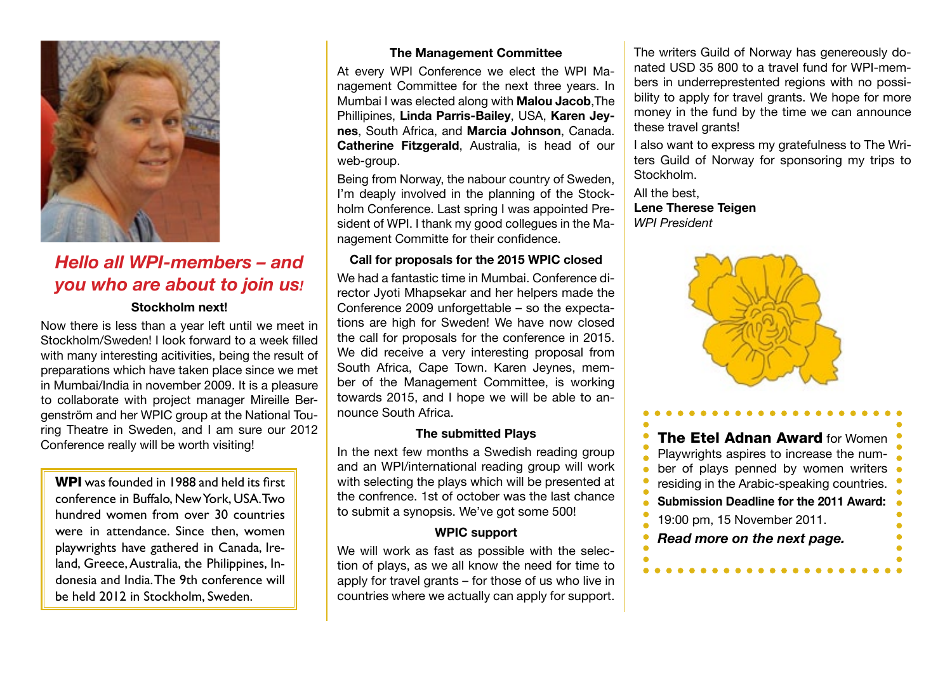

## *Hello all WPI-members – and you who are about to join us!*

#### **Stockholm next!**

Now there is less than a year left until we meet in Stockholm/Sweden! I look forward to a week filled with many interesting acitivities, being the result of preparations which have taken place since we met in Mumbai/India in november 2009. It is a pleasure to collaborate with project manager Mireille Bergenström and her WPIC group at the National Touring Theatre in Sweden, and I am sure our 2012 Conference really will be worth visiting!

WPI was founded in 1988 and held its first conference in Buffalo, New York, USA. Two hundred women from over 30 countries were in attendance. Since then, women playwrights have gathered in Canada, Ireland, Greece, Australia, the Philippines, Indonesia and India. The 9th conference will be held 2012 in Stockholm, Sweden.

#### **The Management Committee**

At every WPI Conference we elect the WPI Management Committee for the next three years. In Mumbai I was elected along with **Malou Jacob**,The Phillipines, **Linda Parris-Bailey**, USA, **Karen Jeynes**, South Africa, and **Marcia Johnson**, Canada. **Catherine Fitzgerald**, Australia, is head of our web-group.

Being from Norway, the nabour country of Sweden, I'm deaply involved in the planning of the Stockholm Conference. Last spring I was appointed President of WPI. I thank my good collegues in the Management Committe for their confidence.

#### **Call for proposals for the 2015 WPIC closed**

We had a fantastic time in Mumbai. Conference director Jyoti Mhapsekar and her helpers made the Conference 2009 unforgettable – so the expectations are high for Sweden! We have now closed the call for proposals for the conference in 2015. We did receive a very interesting proposal from South Africa, Cape Town. Karen Jeynes, member of the Management Committee, is working towards 2015, and I hope we will be able to announce South Africa.

#### **The submitted Plays**

In the next few months a Swedish reading group and an WPI/international reading group will work with selecting the plays which will be presented at the confrence. 1st of october was the last chance to submit a synopsis. We've got some 500!

#### **WPIC support**

We will work as fast as possible with the selection of plays, as we all know the need for time to apply for travel grants – for those of us who live in countries where we actually can apply for support.

The writers Guild of Norway has genereously donated USD 35 800 to a travel fund for WPI-members in underreprestented regions with no possibility to apply for travel grants. We hope for more money in the fund by the time we can announce these travel grants!

I also want to express my gratefulness to The Writers Guild of Norway for sponsoring my trips to Stockholm.

All the best, **Lene Therese Teigen** *WPI President*